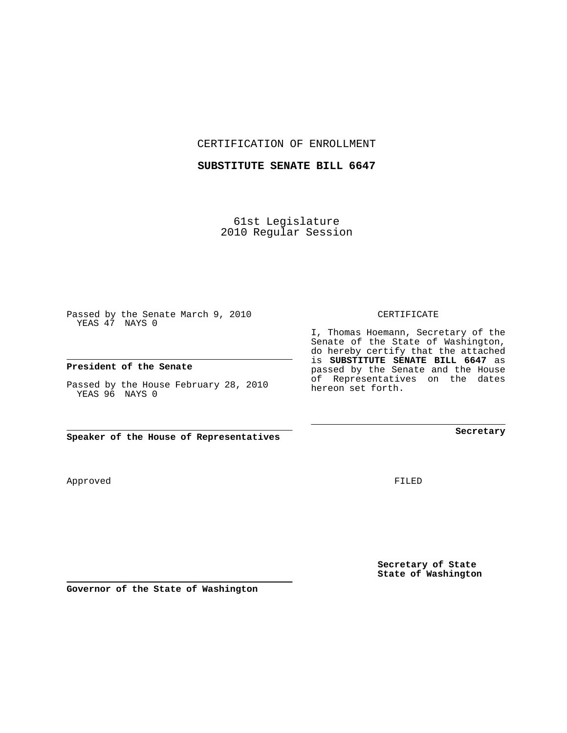CERTIFICATION OF ENROLLMENT

## **SUBSTITUTE SENATE BILL 6647**

61st Legislature 2010 Regular Session

Passed by the Senate March 9, 2010 YEAS 47 NAYS 0

## **President of the Senate**

Passed by the House February 28, 2010 YEAS 96 NAYS 0

**Speaker of the House of Representatives**

Approved

FILED

**Secretary of State State of Washington**

**Secretary**

CERTIFICATE

I, Thomas Hoemann, Secretary of the Senate of the State of Washington, do hereby certify that the attached is **SUBSTITUTE SENATE BILL 6647** as passed by the Senate and the House of Representatives on the dates hereon set forth.

**Governor of the State of Washington**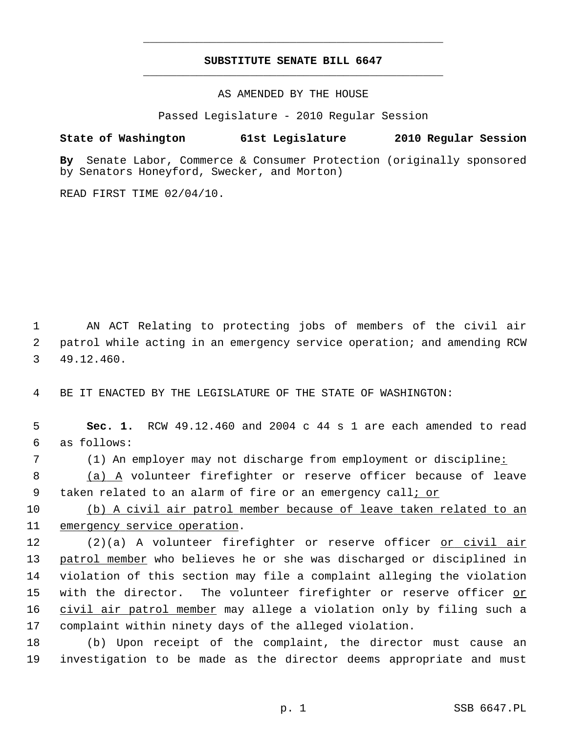## **SUBSTITUTE SENATE BILL 6647** \_\_\_\_\_\_\_\_\_\_\_\_\_\_\_\_\_\_\_\_\_\_\_\_\_\_\_\_\_\_\_\_\_\_\_\_\_\_\_\_\_\_\_\_\_

\_\_\_\_\_\_\_\_\_\_\_\_\_\_\_\_\_\_\_\_\_\_\_\_\_\_\_\_\_\_\_\_\_\_\_\_\_\_\_\_\_\_\_\_\_

AS AMENDED BY THE HOUSE

Passed Legislature - 2010 Regular Session

## **State of Washington 61st Legislature 2010 Regular Session**

**By** Senate Labor, Commerce & Consumer Protection (originally sponsored by Senators Honeyford, Swecker, and Morton)

READ FIRST TIME 02/04/10.

 1 AN ACT Relating to protecting jobs of members of the civil air 2 patrol while acting in an emergency service operation; and amending RCW 3 49.12.460.

4 BE IT ENACTED BY THE LEGISLATURE OF THE STATE OF WASHINGTON:

 5 **Sec. 1.** RCW 49.12.460 and 2004 c 44 s 1 are each amended to read 6 as follows:

 7 (1) An employer may not discharge from employment or discipline: 8 (a) A volunteer firefighter or reserve officer because of leave

9 taken related to an alarm of fire or an emergency call; or

10 (b) A civil air patrol member because of leave taken related to an 11 emergency service operation.

12 (2)(a) A volunteer firefighter or reserve officer or civil air 13 patrol member who believes he or she was discharged or disciplined in 14 violation of this section may file a complaint alleging the violation 15 with the director. The volunteer firefighter or reserve officer or 16 civil air patrol member may allege a violation only by filing such a 17 complaint within ninety days of the alleged violation.

18 (b) Upon receipt of the complaint, the director must cause an 19 investigation to be made as the director deems appropriate and must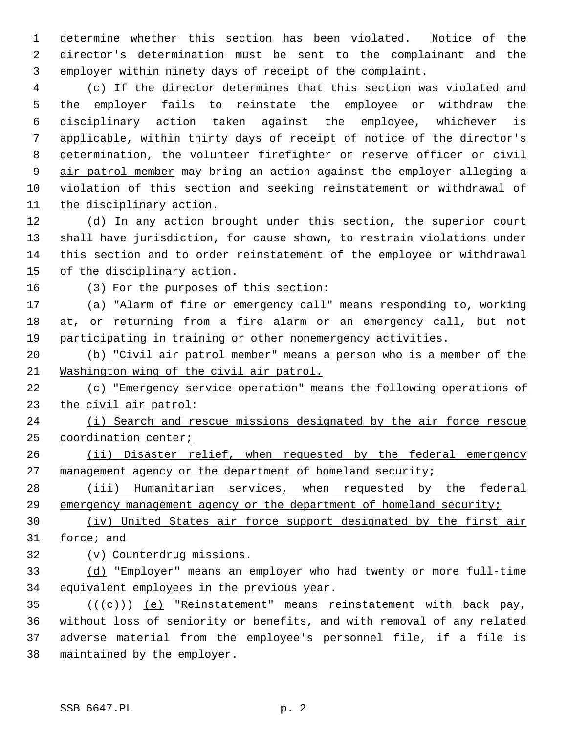1 determine whether this section has been violated. Notice of the 2 director's determination must be sent to the complainant and the 3 employer within ninety days of receipt of the complaint.

 4 (c) If the director determines that this section was violated and 5 the employer fails to reinstate the employee or withdraw the 6 disciplinary action taken against the employee, whichever is 7 applicable, within thirty days of receipt of notice of the director's 8 determination, the volunteer firefighter or reserve officer or civil 9 air patrol member may bring an action against the employer alleging a 10 violation of this section and seeking reinstatement or withdrawal of 11 the disciplinary action.

12 (d) In any action brought under this section, the superior court 13 shall have jurisdiction, for cause shown, to restrain violations under 14 this section and to order reinstatement of the employee or withdrawal 15 of the disciplinary action.

16 (3) For the purposes of this section:

17 (a) "Alarm of fire or emergency call" means responding to, working 18 at, or returning from a fire alarm or an emergency call, but not 19 participating in training or other nonemergency activities.

20 (b) "Civil air patrol member" means a person who is a member of the 21 Washington wing of the civil air patrol.

22 (c) "Emergency service operation" means the following operations of 23 the civil air patrol:

24 (i) Search and rescue missions designated by the air force rescue 25 coordination center;

26 (ii) Disaster relief, when requested by the federal emergency 27 management agency or the department of homeland security;

28 (iii) Humanitarian services, when requested by the federal 29 emergency management agency or the department of homeland security;

30 (iv) United States air force support designated by the first air 31 force; and

32 (v) Counterdrug missions.

33 (d) "Employer" means an employer who had twenty or more full-time 34 equivalent employees in the previous year.

35  $((\text{+e})^{\circ})$  (e) "Reinstatement" means reinstatement with back pay, 36 without loss of seniority or benefits, and with removal of any related 37 adverse material from the employee's personnel file, if a file is 38 maintained by the employer.